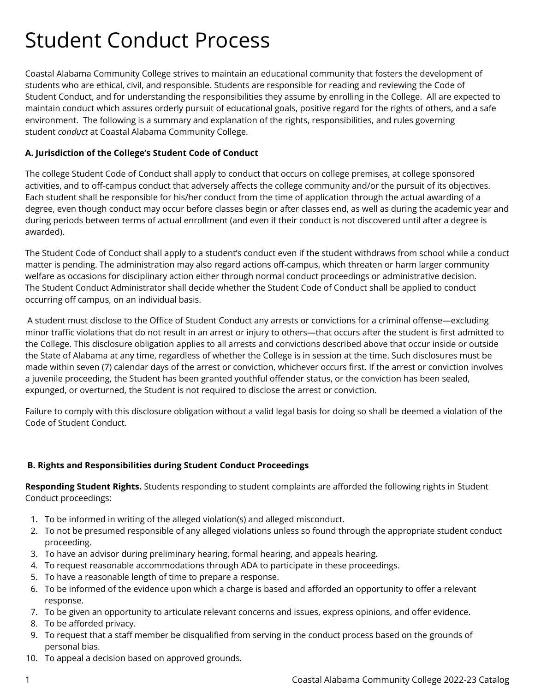# Student Conduct Process

Coastal Alabama Community College strives to maintain an educational community that fosters the development of students who are ethical, civil, and responsible. Students are responsible for reading and reviewing the Code of Student Conduct, and for understanding the responsibilities they assume by enrolling in the College. All are expected to maintain conduct which assures orderly pursuit of educational goals, positive regard for the rights of others, and a safe environment. The following is a summary and explanation of the rights, responsibilities, and rules governing student *conduct* at Coastal Alabama Community College.

# **A. Jurisdiction of the College's Student Code of Conduct**

The college Student Code of Conduct shall apply to conduct that occurs on college premises, at college sponsored activities, and to off-campus conduct that adversely affects the college community and/or the pursuit of its objectives. Each student shall be responsible for his/her conduct from the time of application through the actual awarding of a degree, even though conduct may occur before classes begin or after classes end, as well as during the academic year and during periods between terms of actual enrollment (and even if their conduct is not discovered until after a degree is awarded).

The Student Code of Conduct shall apply to a student's conduct even if the student withdraws from school while a conduct matter is pending. The administration may also regard actions off-campus, which threaten or harm larger community welfare as occasions for disciplinary action either through normal conduct proceedings or administrative decision. The Student Conduct Administrator shall decide whether the Student Code of Conduct shall be applied to conduct occurring off campus, on an individual basis.

A student must disclose to the Office of Student Conduct any arrests or convictions for a criminal offense—excluding minor traffic violations that do not result in an arrest or injury to others—that occurs after the student is first admitted to the College. This disclosure obligation applies to all arrests and convictions described above that occur inside or outside the State of Alabama at any time, regardless of whether the College is in session at the time. Such disclosures must be made within seven (7) calendar days of the arrest or conviction, whichever occurs first. If the arrest or conviction involves a juvenile proceeding, the Student has been granted youthful offender status, or the conviction has been sealed, expunged, or overturned, the Student is not required to disclose the arrest or conviction.

Failure to comply with this disclosure obligation without a valid legal basis for doing so shall be deemed a violation of the Code of Student Conduct.

# **B. Rights and Responsibilities during Student Conduct Proceedings**

**Responding Student Rights.** Students responding to student complaints are afforded the following rights in Student Conduct proceedings:

- 1. To be informed in writing of the alleged violation(s) and alleged misconduct.
- 2. To not be presumed responsible of any alleged violations unless so found through the appropriate student conduct proceeding.
- 3. To have an advisor during preliminary hearing, formal hearing, and appeals hearing.
- 4. To request reasonable accommodations through ADA to participate in these proceedings.
- 5. To have a reasonable length of time to prepare a response.
- 6. To be informed of the evidence upon which a charge is based and afforded an opportunity to offer a relevant response.
- 7. To be given an opportunity to articulate relevant concerns and issues, express opinions, and offer evidence.
- 8. To be afforded privacy.
- 9. To request that a staff member be disqualified from serving in the conduct process based on the grounds of personal bias.
- 10. To appeal a decision based on approved grounds.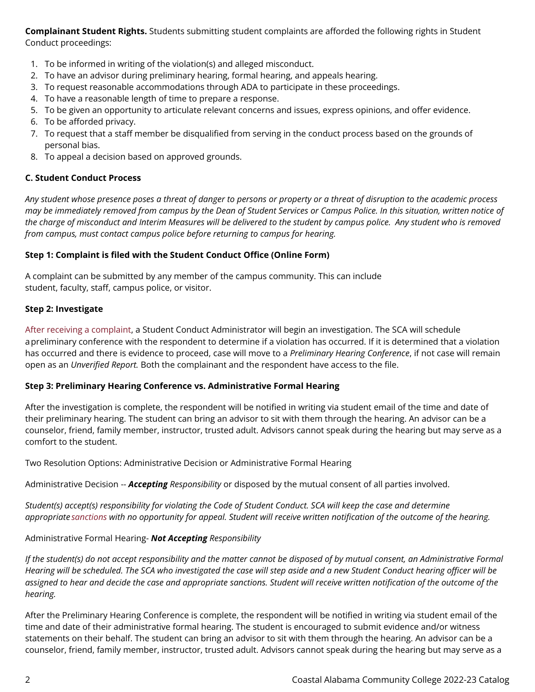**Complainant Student Rights.** Students submitting student complaints are afforded the following rights in Student Conduct proceedings:

- 1. To be informed in writing of the violation(s) and alleged misconduct.
- 2. To have an advisor during preliminary hearing, formal hearing, and appeals hearing.
- 3. To request reasonable accommodations through ADA to participate in these proceedings.
- 4. To have a reasonable length of time to prepare a response.
- 5. To be given an opportunity to articulate relevant concerns and issues, express opinions, and offer evidence.
- 6. To be afforded privacy.
- 7. To request that a staff member be disqualified from serving in the conduct process based on the grounds of personal bias.
- 8. To appeal a decision based on approved grounds.

# **C. Student Conduct Process**

*Any student whose presence poses a threat of danger to persons or property or a threat of disruption to the academic process may be immediately removed from campus by the Dean of Student Services or Campus Police. In this situation, written notice of the charge of misconduct and Interim Measures will be delivered to the student by campus police. Any student who is removed from campus, must contact campus police before returning to campus for hearing.*

# **Step 1: Complaint is filed with the Student Conduct Office (Online Form)**

A complaint can be submitted by any member of the campus community. This can include student, faculty, staff, campus police, or visitor.

## **Step 2: Investigate**

[After receiving a complaint](https://studentconduct.osu.edu/for-students/understanding-the-student-conduct-process/complaint/), a Student Conduct Administrator will begin an investigation. The SCA will schedule apreliminary conference with the respondent to determine if a violation has occurred. If it is determined that a violation has occurred and there is evidence to proceed, case will move to a *Preliminary Hearing Conference*, if not case will remain open as an *Unverified Report.* Both the complainant and the respondent have access to the file.

## **Step 3: Preliminary Hearing Conference vs. Administrative Formal Hearing**

After the investigation is complete, the respondent will be notified in writing via student email of the time and date of their preliminary hearing. The student can bring an advisor to sit with them through the hearing. An advisor can be a counselor, friend, family member, instructor, trusted adult. Advisors cannot speak during the hearing but may serve as a comfort to the student.

Two Resolution Options: Administrative Decision or Administrative Formal Hearing

Administrative Decision -- *Accepting Responsibility* or disposed by the mutual consent of all parties involved.

*Student(s) accept(s) responsibility for violating the Code of Student Conduct. SCA will keep the case and determine appropriate [sanctions](https://studentconduct.osu.edu/for-students/understanding-the-student-conduct-process/sanctions/) with no opportunity for appeal. Student will receive written notification of the outcome of the hearing.*

Administrative Formal Hearing- *Not Accepting Responsibility*

*If the student(s) do not accept responsibility and the matter cannot be disposed of by mutual consent, an Administrative Formal Hearing will be scheduled. The SCA who investigated the case will step aside and a new Student Conduct hearing officer will be assigned to hear and decide the case and appropriate sanctions. Student will receive written notification of the outcome of the hearing.*

After the Preliminary Hearing Conference is complete, the respondent will be notified in writing via student email of the time and date of their administrative formal hearing. The student is encouraged to submit evidence and/or witness statements on their behalf. The student can bring an advisor to sit with them through the hearing. An advisor can be a counselor, friend, family member, instructor, trusted adult. Advisors cannot speak during the hearing but may serve as a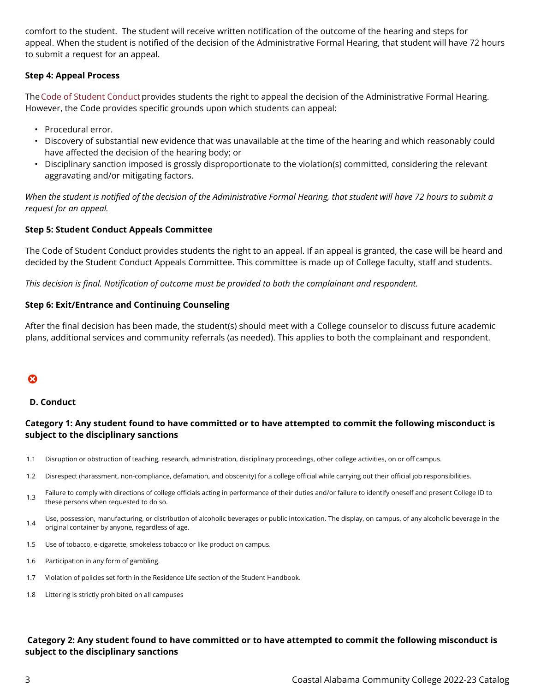comfort to the student. The student will receive written notification of the outcome of the hearing and steps for appeal. When the student is notified of the decision of the Administrative Formal Hearing, that student will have 72 hours to submit a request for an appeal.

## **Step 4: Appeal Process**

The [Code of Student Conduct](http://trustees.osu.edu/rules/code-of-student-conduct/3335-23-18.html) provides students the right to appeal the decision of the Administrative Formal Hearing. However, the Code provides specific grounds upon which students can appeal:

- Procedural error.
- Discovery of substantial new evidence that was unavailable at the time of the hearing and which reasonably could have affected the decision of the hearing body; or
- Disciplinary sanction imposed is grossly disproportionate to the violation(s) committed, considering the relevant aggravating and/or mitigating factors.

*When the student is notified of the decision of the Administrative Formal Hearing, that student will have 72 hours to submit a request for an appeal.*

## **Step 5: Student Conduct Appeals Committee**

The Code of Student Conduct provides students the right to an appeal. If an appeal is granted, the case will be heard and decided by the Student Conduct Appeals Committee. This committee is made up of College faculty, staff and students.

*This decision is final. Notification of outcome must be provided to both the complainant and respondent.*

## **Step 6: Exit/Entrance and Continuing Counseling**

After the final decision has been made, the student(s) should meet with a College counselor to discuss future academic plans, additional services and community referrals (as needed). This applies to both the complainant and respondent.

# ೞ

## **D. Conduct**

## **Category 1: Any student found to have committed or to have attempted to commit the following misconduct is subject to the disciplinary sanctions**

- 1.1 Disruption or obstruction of teaching, research, administration, disciplinary proceedings, other college activities, on or off campus.
- 1.2 Disrespect (harassment, non-compliance, defamation, and obscenity) for a college official while carrying out their official job responsibilities.
- 1.3 Failure to comply with directions of college officials acting in performance of their duties and/or failure to identify oneself and present College ID to these persons when requested to do so.
- 1.4 Use, possession, manufacturing, or distribution of alcoholic beverages or public intoxication. The display, on campus, of any alcoholic beverage in the original container by anyone, regardless of age.
- 1.5 Use of tobacco, e-cigarette, smokeless tobacco or like product on campus.
- 1.6 Participation in any form of gambling.
- 1.7 Violation of policies set forth in the Residence Life section of the Student Handbook.
- 1.8 Littering is strictly prohibited on all campuses

# **Category 2: Any student found to have committed or to have attempted to commit the following misconduct is subject to the disciplinary sanctions**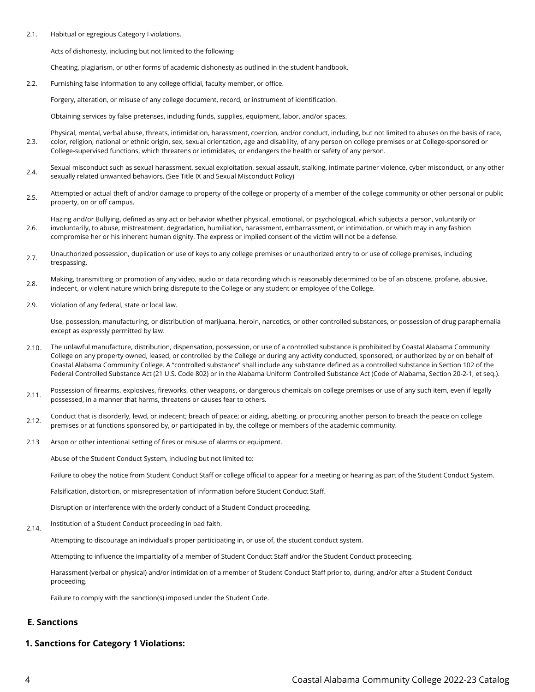2.1. Habitual or egregious Category I violations.

Acts of dishonesty, including but not limited to the following:

Cheating, plagiarism, or other forms of academic dishonesty as outlined in the student handbook.

2.2. Furnishing false information to any college official, faculty member, or office.

Forgery, alteration, or misuse of any college document, record, or instrument of identification.

Obtaining services by false pretenses, including funds, supplies, equipment, labor, and/or spaces.

- 2.3. Physical, mental, verbal abuse, threats, intimidation, harassment, coercion, and/or conduct, including, but not limited to abuses on the basis of race, color, religion, national or ethnic origin, sex, sexual orientation, age and disability, of any person on college premises or at College-sponsored or College-supervised functions, which threatens or intimidates, or endangers the health or safety of any person.
- $2.4$  Sexual misconduct such as sexual harassment, sexual exploitation, sexual assault, stalking, intimate partner violence, cyber misconduct, or any other sexually related unwanted behaviors. (See Title IX and Sexual Misconduct Policy)
- $2.5$  Attempted or actual theft of and/or damage to property of the college or property of a member of the college community or other personal or public property, on or off campus.

2.6. Hazing and/or Bullying, defined as any act or behavior whether physical, emotional, or psychological, which subjects a person, voluntarily or involuntarily, to abuse, mistreatment, degradation, humiliation, harassment, embarrassment, or intimidation, or which may in any fashion compromise her or his inherent human dignity. The express or implied consent of the victim will not be a defense.

- 2.7. Unauthorized possession, duplication or use of keys to any college premises or unauthorized entry to or use of college premises, including trespassing.
- 2.8. Making, transmitting or promotion of any video, audio or data recording which is reasonably determined to be of an obscene, profane, abusive, indecent, or violent nature which bring disrepute to the College or any student or employee of the College.
- 2.9. Violation of any federal, state or local law.

Use, possession, manufacturing, or distribution of marijuana, heroin, narcotics, or other controlled substances, or possession of drug paraphernalia except as expressly permitted by law.

- 2.10. The unlawful manufacture, distribution, dispensation, possession, or use of a controlled substance is prohibited by Coastal Alabama Community College on any property owned, leased, or controlled by the College or during any activity conducted, sponsored, or authorized by or on behalf of Coastal Alabama Community College. A "controlled substance" shall include any substance defined as a controlled substance in Section 102 of the Federal Controlled Substance Act (21 U.S. Code 802) or in the Alabama Uniform Controlled Substance Act (Code of Alabama, Section 20-2-1, et seq.).
- 2.11. Possession of firearms, explosives, fireworks, other weapons, or dangerous chemicals on college premises or use of any such item, even if legally possessed, in a manner that harms, threatens or causes fear to others.
- 2.12. Conduct that is disorderly, lewd, or indecent; breach of peace; or aiding, abetting, or procuring another person to breach the peace on college premises or at functions sponsored by, or participated in by, the college or members of the academic community.
- 2.13 Arson or other intentional setting of fires or misuse of alarms or equipment.

Abuse of the Student Conduct System, including but not limited to:

Failure to obey the notice from Student Conduct Staff or college official to appear for a meeting or hearing as part of the Student Conduct System.

Falsification, distortion, or misrepresentation of information before Student Conduct Staff.

Disruption or interference with the orderly conduct of a Student Conduct proceeding.

2.14. Institution of a Student Conduct proceeding in bad faith.

Attempting to discourage an individual's proper participating in, or use of, the student conduct system.

Attempting to influence the impartiality of a member of Student Conduct Staff and/or the Student Conduct proceeding.

Harassment (verbal or physical) and/or intimidation of a member of Student Conduct Staff prior to, during, and/or after a Student Conduct proceeding.

Failure to comply with the sanction(s) imposed under the Student Code.

## **E. Sanctions**

## **1. Sanctions for Category 1 Violations:**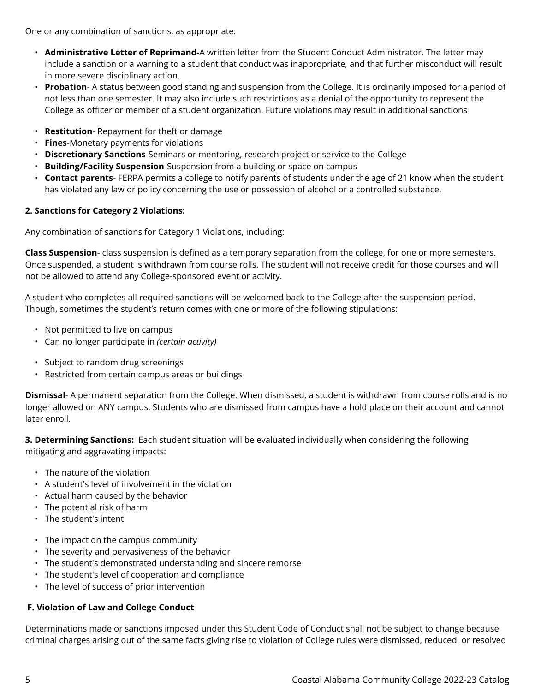One or any combination of sanctions, as appropriate:

- **Administrative Letter of Reprimand-**A written letter from the Student Conduct Administrator. The letter may include a sanction or a warning to a student that conduct was inappropriate, and that further misconduct will result in more severe disciplinary action.
- **Probation** A status between good standing and suspension from the College. It is ordinarily imposed for a period of not less than one semester. It may also include such restrictions as a denial of the opportunity to represent the College as officer or member of a student organization. Future violations may result in additional sanctions
- **Restitution** Repayment for theft or damage
- **Fines**-Monetary payments for violations
- **Discretionary Sanctions**-Seminars or mentoring, research project or service to the College
- **Building/Facility Suspension**-Suspension from a building or space on campus
- **Contact parents** FERPA permits a college to notify parents of students under the age of 21 know when the student has violated any law or policy concerning the use or possession of alcohol or a controlled substance.

# **2. Sanctions for Category 2 Violations:**

Any combination of sanctions for Category 1 Violations, including:

**Class Suspension**- class suspension is defined as a temporary separation from the college, for one or more semesters. Once suspended, a student is withdrawn from course rolls. The student will not receive credit for those courses and will not be allowed to attend any College-sponsored event or activity.

A student who completes all required sanctions will be welcomed back to the College after the suspension period. Though, sometimes the student's return comes with one or more of the following stipulations:

- Not permitted to live on campus
- Can no longer participate in *(certain activity)*
- Subject to random drug screenings
- Restricted from certain campus areas or buildings

**Dismissal**- A permanent separation from the College. When dismissed, a student is withdrawn from course rolls and is no longer allowed on ANY campus. Students who are dismissed from campus have a hold place on their account and cannot later enroll.

**3. Determining Sanctions:** Each student situation will be evaluated individually when considering the following mitigating and aggravating impacts:

- The nature of the violation
- A student's level of involvement in the violation
- Actual harm caused by the behavior
- The potential risk of harm
- The student's intent
- The impact on the campus community
- The severity and pervasiveness of the behavior
- The student's demonstrated understanding and sincere remorse
- The student's level of cooperation and compliance
- The level of success of prior intervention

# **F. Violation of Law and College Conduct**

Determinations made or sanctions imposed under this Student Code of Conduct shall not be subject to change because criminal charges arising out of the same facts giving rise to violation of College rules were dismissed, reduced, or resolved